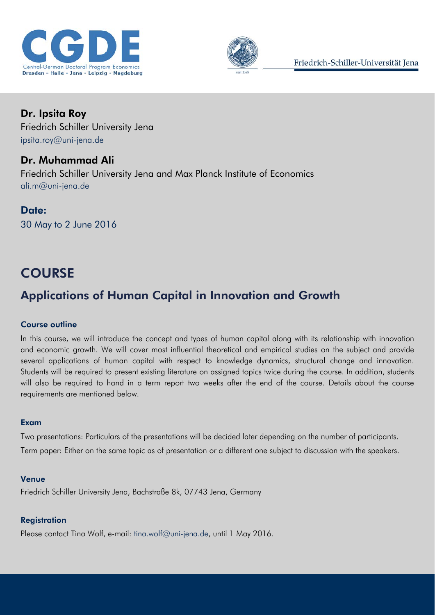



Dr. Ipsita Roy Friedrich Schiller University Jena [ipsita.roy@uni-jena.de](mailto:ipsita.roy@uni-jena.de)

Dr. Muhammad Ali Friedrich Schiller University Jena and Max Planck Institute of Economics [ali.m@uni-jena.de](mailto:ali.m@uni-jena.de)

Date: 30 May to 2 June 2016

# **COURSE**

## Applications of Human Capital in Innovation and Growth

## Course outline

In this course, we will introduce the concept and types of human capital along with its relationship with innovation and economic growth. We will cover most influential theoretical and empirical studies on the subject and provide several applications of human capital with respect to knowledge dynamics, structural change and innovation. Students will be required to present existing literature on assigned topics twice during the course. In addition, students will also be required to hand in a term report two weeks after the end of the course. Details about the course requirements are mentioned below.

## Exam

Two presentations: Particulars of the presentations will be decided later depending on the number of participants. Term paper: Either on the same topic as of presentation or a different one subject to discussion with the speakers.

## Venue

Friedrich Schiller University Jena, Bachstraße 8k, 07743 Jena, Germany

## **Registration**

Please contact Tina Wolf, e-mail: [tina.wolf@uni-jena.de,](mailto:tina.wolf@uni-jena.de) until 1 May 2016.